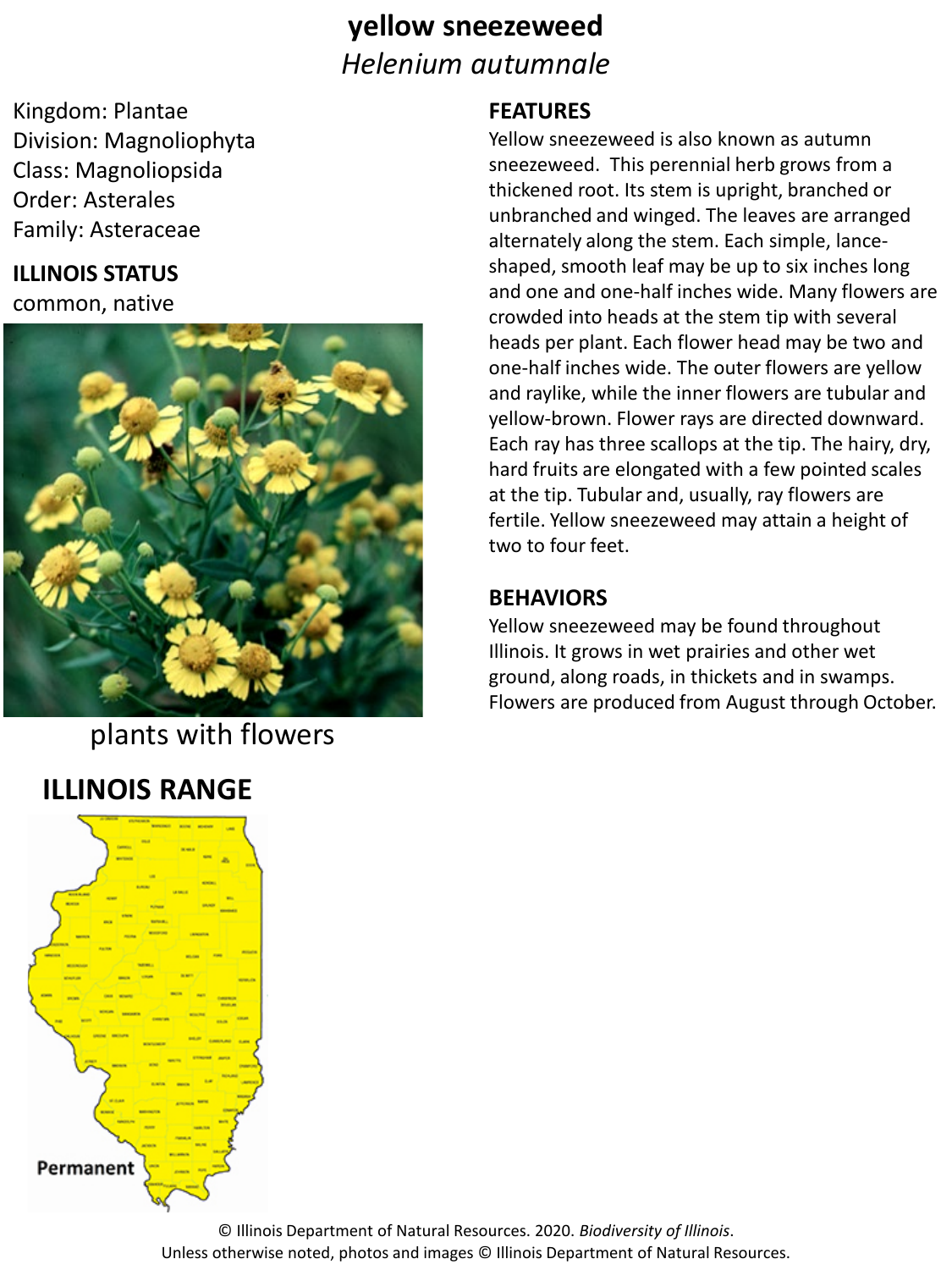## **yellow sneezeweed** *Helenium autumnale*

Kingdom: Plantae Division: Magnoliophyta Class: Magnoliopsida Order: Asterales Family: Asteraceae

### **ILLINOIS STATUS**

common, native



plants with flowers

## **ILLINOIS RANGE**



#### **FEATURES**

Yellow sneezeweed is also known as autumn sneezeweed. This perennial herb grows from a thickened root. Its stem is upright, branched or unbranched and winged. The leaves are arranged alternately along the stem. Each simple, lanceshaped, smooth leaf may be up to six inches long and one and one-half inches wide. Many flowers are crowded into heads at the stem tip with several heads per plant. Each flower head may be two and one-half inches wide. The outer flowers are yellow and raylike, while the inner flowers are tubular and yellow-brown. Flower rays are directed downward. Each ray has three scallops at the tip. The hairy, dry, hard fruits are elongated with a few pointed scales at the tip. Tubular and, usually, ray flowers are fertile. Yellow sneezeweed may attain a height of two to four feet.

#### **BEHAVIORS**

Yellow sneezeweed may be found throughout Illinois. It grows in wet prairies and other wet ground, along roads, in thickets and in swamps. Flowers are produced from August through October.

© Illinois Department of Natural Resources. 2020. *Biodiversity of Illinois*. Unless otherwise noted, photos and images © Illinois Department of Natural Resources.